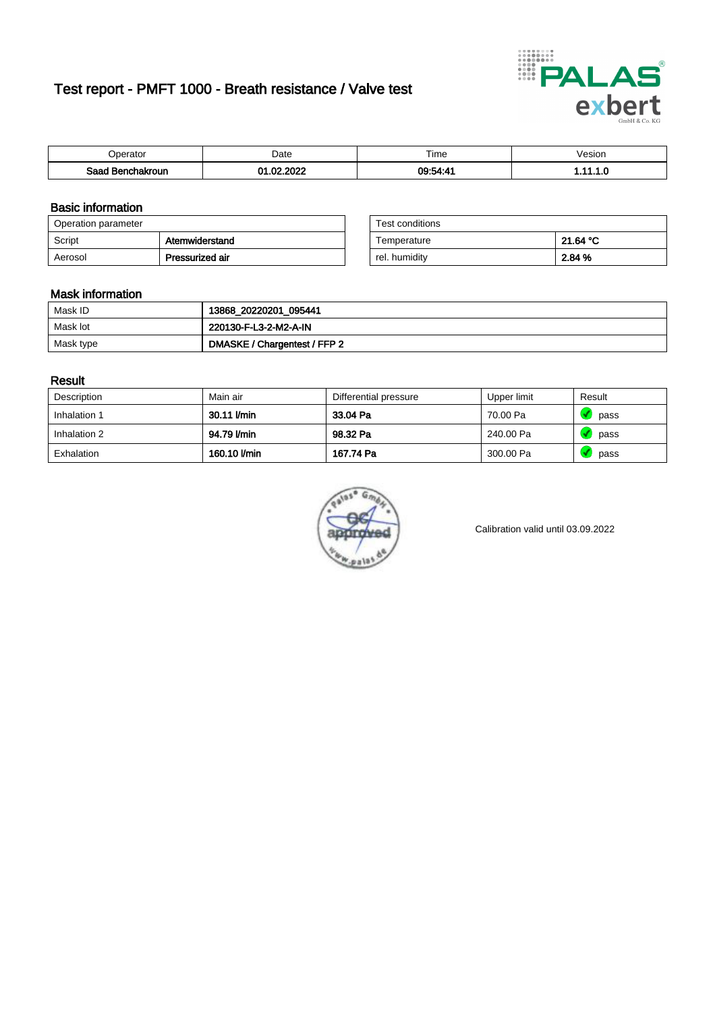# Test report - PMFT 1000 - Breath resistance / Valve test



| )perator               | Date                                 | $- \cdot$<br>i ime | esion |
|------------------------|--------------------------------------|--------------------|-------|
| המס<br>hakroun<br>32 H | 000 <sup>o</sup><br>ົ<br>$\sim$<br>w | 09:54:4            | .     |

### Basic information

| Operation parameter |                 | Test conditions |          |
|---------------------|-----------------|-----------------|----------|
| Script              | Atemwiderstand  | Temperature     | 21.64 °C |
| Aerosol             | Pressurized air | rel. humidity   | 2.84 %   |

| Test conditions |          |
|-----------------|----------|
| Temperature     | 21.64 °C |
| rel. humidity   | 2.84 %   |

### Mask information

| Mask ID   | 13868_20220201_095441        |
|-----------|------------------------------|
| Mask lot  | 220130-F-L3-2-M2-A-IN        |
| Mask type | DMASKE / Chargentest / FFP 2 |

### Result

| Description  | Main air     | Differential pressure | Upper limit | Result |
|--------------|--------------|-----------------------|-------------|--------|
| Inhalation 1 | 30.11 l/min  | 33.04 Pa              | 70.00 Pa    | pass   |
| Inhalation 2 | 94.79 l/min  | 98.32 Pa              | 240.00 Pa   | pass   |
| Exhalation   | 160.10 l/min | 167.74 Pa             | 300.00 Pa   | pass   |



Calibration valid until 03.09.2022